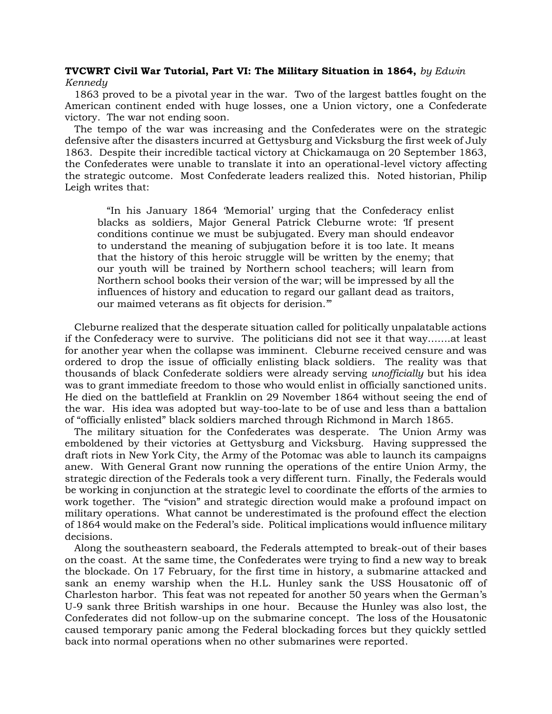## **TVCWRT Civil War Tutorial, Part VI: The Military Situation in 1864,** *by Edwin Kennedy*

 1863 proved to be a pivotal year in the war. Two of the largest battles fought on the American continent ended with huge losses, one a Union victory, one a Confederate victory. The war not ending soon.

 The tempo of the war was increasing and the Confederates were on the strategic defensive after the disasters incurred at Gettysburg and Vicksburg the first week of July 1863. Despite their incredible tactical victory at Chickamauga on 20 September 1863, the Confederates were unable to translate it into an operational-level victory affecting the strategic outcome. Most Confederate leaders realized this. Noted historian, Philip Leigh writes that:

 "In his January 1864 'Memorial' urging that the Confederacy enlist blacks as soldiers, Major General Patrick Cleburne wrote: 'If present conditions continue we must be subjugated. Every man should endeavor to understand the meaning of subjugation before it is too late. It means that the history of this heroic struggle will be written by the enemy; that our youth will be trained by Northern school teachers; will learn from Northern school books their version of the war; will be impressed by all the influences of history and education to regard our gallant dead as traitors, our maimed veterans as fit objects for derision.'"

 Cleburne realized that the desperate situation called for politically unpalatable actions if the Confederacy were to survive. The politicians did not see it that way…….at least for another year when the collapse was imminent. Cleburne received censure and was ordered to drop the issue of officially enlisting black soldiers. The reality was that thousands of black Confederate soldiers were already serving *unofficially* but his idea was to grant immediate freedom to those who would enlist in officially sanctioned units. He died on the battlefield at Franklin on 29 November 1864 without seeing the end of the war. His idea was adopted but way-too-late to be of use and less than a battalion of "officially enlisted" black soldiers marched through Richmond in March 1865.

 The military situation for the Confederates was desperate. The Union Army was emboldened by their victories at Gettysburg and Vicksburg. Having suppressed the draft riots in New York City, the Army of the Potomac was able to launch its campaigns anew. With General Grant now running the operations of the entire Union Army, the strategic direction of the Federals took a very different turn. Finally, the Federals would be working in conjunction at the strategic level to coordinate the efforts of the armies to work together. The "vision" and strategic direction would make a profound impact on military operations. What cannot be underestimated is the profound effect the election of 1864 would make on the Federal's side. Political implications would influence military decisions.

 Along the southeastern seaboard, the Federals attempted to break-out of their bases on the coast. At the same time, the Confederates were trying to find a new way to break the blockade. On 17 February, for the first time in history, a submarine attacked and sank an enemy warship when the H.L. Hunley sank the USS Housatonic off of Charleston harbor. This feat was not repeated for another 50 years when the German's U-9 sank three British warships in one hour. Because the Hunley was also lost, the Confederates did not follow-up on the submarine concept. The loss of the Housatonic caused temporary panic among the Federal blockading forces but they quickly settled back into normal operations when no other submarines were reported.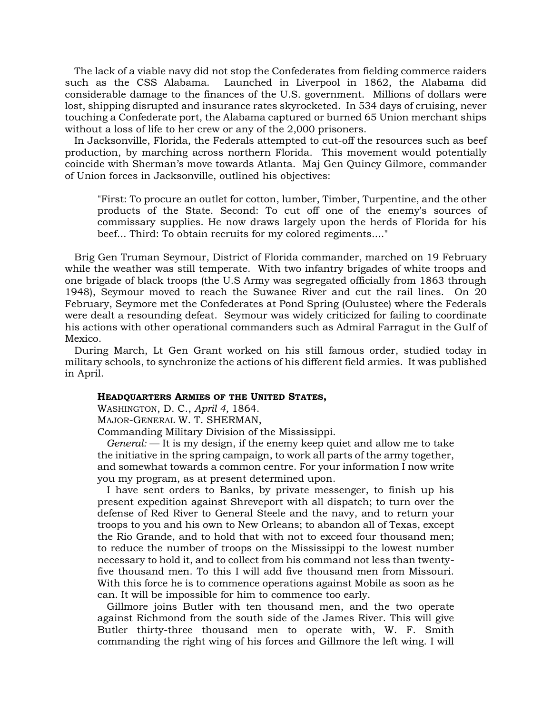The lack of a viable navy did not stop the Confederates from fielding commerce raiders such as the CSS Alabama. Launched in Liverpool in 1862, the Alabama did considerable damage to the finances of the U.S. government. Millions of dollars were lost, shipping disrupted and insurance rates skyrocketed. In 534 days of cruising, never touching a Confederate port, the Alabama captured or burned 65 Union merchant ships without a loss of life to her crew or any of the 2,000 prisoners.

 In Jacksonville, Florida, the Federals attempted to cut-off the resources such as beef production, by marching across northern Florida. This movement would potentially coincide with Sherman's move towards Atlanta. Maj Gen Quincy Gilmore, commander of Union forces in Jacksonville, outlined his objectives:

"First: To procure an outlet for cotton, lumber, Timber, Turpentine, and the other products of the State. Second: To cut off one of the enemy's sources of commissary supplies. He now draws largely upon the herds of Florida for his beef... Third: To obtain recruits for my colored regiments...."

 Brig Gen Truman Seymour, District of Florida commander, marched on 19 February while the weather was still temperate. With two infantry brigades of white troops and one brigade of black troops (the U.S Army was segregated officially from 1863 through 1948), Seymour moved to reach the Suwanee River and cut the rail lines. On 20 February, Seymore met the Confederates at Pond Spring (Oulustee) where the Federals were dealt a resounding defeat. Seymour was widely criticized for failing to coordinate his actions with other operational commanders such as Admiral Farragut in the Gulf of Mexico.

 During March, Lt Gen Grant worked on his still famous order, studied today in military schools, to synchronize the actions of his different field armies. It was published in April.

## **HEADQUARTERS ARMIES OF THE UNITED STATES,**

WASHINGTON, D. C., *April 4,* 1864.

MAJOR-GENERAL W. T. SHERMAN,

Commanding Military Division of the Mississippi.

 *General:* — It is my design, if the enemy keep quiet and allow me to take the initiative in the spring campaign, to work all parts of the army together, and somewhat towards a common centre. For your information I now write you my program, as at present determined upon.

 I have sent orders to Banks, by private messenger, to finish up his present expedition against Shreveport with all dispatch; to turn over the defense of Red River to General Steele and the navy, and to return your troops to you and his own to New Orleans; to abandon all of Texas, except the Rio Grande, and to hold that with not to exceed four thousand men; to reduce the number of troops on the Mississippi to the lowest number necessary to hold it, and to collect from his command not less than twentyfive thousand men. To this I will add five thousand men from Missouri. With this force he is to commence operations against Mobile as soon as he can. It will be impossible for him to commence too early.

 Gillmore joins Butler with ten thousand men, and the two operate against Richmond from the south side of the James River. This will give Butler thirty-three thousand men to operate with, W. F. Smith commanding the right wing of his forces and Gillmore the left wing. I will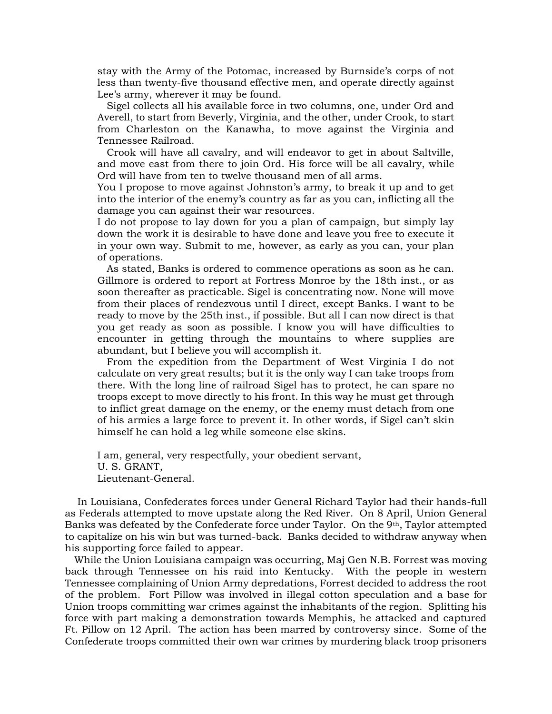stay with the Army of the Potomac, increased by Burnside's corps of not less than twenty-five thousand effective men, and operate directly against Lee's army, wherever it may be found.

 Sigel collects all his available force in two columns, one, under Ord and Averell, to start from Beverly, Virginia, and the other, under Crook, to start from Charleston on the Kanawha, to move against the Virginia and Tennessee Railroad.

 Crook will have all cavalry, and will endeavor to get in about Saltville, and move east from there to join Ord. His force will be all cavalry, while Ord will have from ten to twelve thousand men of all arms.

You I propose to move against Johnston's army, to break it up and to get into the interior of the enemy's country as far as you can, inflicting all the damage you can against their war resources.

I do not propose to lay down for you a plan of campaign, but simply lay down the work it is desirable to have done and leave you free to execute it in your own way. Submit to me, however, as early as you can, your plan of operations.

 As stated, Banks is ordered to commence operations as soon as he can. Gillmore is ordered to report at Fortress Monroe by the 18th inst., or as soon thereafter as practicable. Sigel is concentrating now. None will move from their places of rendezvous until I direct, except Banks. I want to be ready to move by the 25th inst., if possible. But all I can now direct is that you get ready as soon as possible. I know you will have difficulties to encounter in getting through the mountains to where supplies are abundant, but I believe you will accomplish it.

 From the expedition from the Department of West Virginia I do not calculate on very great results; but it is the only way I can take troops from there. With the long line of railroad Sigel has to protect, he can spare no troops except to move directly to his front. In this way he must get through to inflict great damage on the enemy, or the enemy must detach from one of his armies a large force to prevent it. In other words, if Sigel can't skin himself he can hold a leg while someone else skins.

I am, general, very respectfully, your obedient servant, U. S. GRANT, Lieutenant-General.

 In Louisiana, Confederates forces under General Richard Taylor had their hands-full as Federals attempted to move upstate along the Red River. On 8 April, Union General Banks was defeated by the Confederate force under Taylor. On the 9th, Taylor attempted to capitalize on his win but was turned-back. Banks decided to withdraw anyway when his supporting force failed to appear.

 While the Union Louisiana campaign was occurring, Maj Gen N.B. Forrest was moving back through Tennessee on his raid into Kentucky. With the people in western Tennessee complaining of Union Army depredations, Forrest decided to address the root of the problem. Fort Pillow was involved in illegal cotton speculation and a base for Union troops committing war crimes against the inhabitants of the region. Splitting his force with part making a demonstration towards Memphis, he attacked and captured Ft. Pillow on 12 April. The action has been marred by controversy since. Some of the Confederate troops committed their own war crimes by murdering black troop prisoners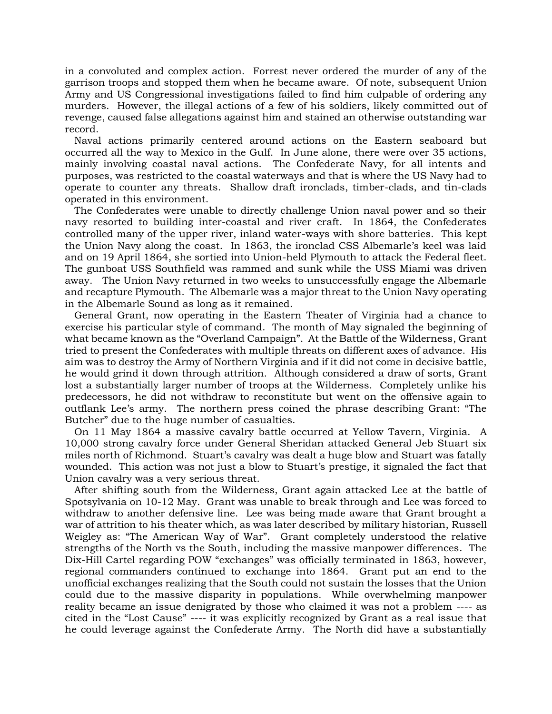in a convoluted and complex action. Forrest never ordered the murder of any of the garrison troops and stopped them when he became aware. Of note, subsequent Union Army and US Congressional investigations failed to find him culpable of ordering any murders. However, the illegal actions of a few of his soldiers, likely committed out of revenge, caused false allegations against him and stained an otherwise outstanding war record.

 Naval actions primarily centered around actions on the Eastern seaboard but occurred all the way to Mexico in the Gulf. In June alone, there were over 35 actions, mainly involving coastal naval actions. The Confederate Navy, for all intents and purposes, was restricted to the coastal waterways and that is where the US Navy had to operate to counter any threats. Shallow draft ironclads, timber-clads, and tin-clads operated in this environment.

 The Confederates were unable to directly challenge Union naval power and so their navy resorted to building inter-coastal and river craft. In 1864, the Confederates controlled many of the upper river, inland water-ways with shore batteries. This kept the Union Navy along the coast. In 1863, the ironclad CSS Albemarle's keel was laid and on 19 April 1864, she sortied into Union-held Plymouth to attack the Federal fleet. The gunboat USS Southfield was rammed and sunk while the USS Miami was driven away. The Union Navy returned in two weeks to unsuccessfully engage the Albemarle and recapture Plymouth. The Albemarle was a major threat to the Union Navy operating in the Albemarle Sound as long as it remained.

 General Grant, now operating in the Eastern Theater of Virginia had a chance to exercise his particular style of command. The month of May signaled the beginning of what became known as the "Overland Campaign". At the Battle of the Wilderness, Grant tried to present the Confederates with multiple threats on different axes of advance. His aim was to destroy the Army of Northern Virginia and if it did not come in decisive battle, he would grind it down through attrition. Although considered a draw of sorts, Grant lost a substantially larger number of troops at the Wilderness. Completely unlike his predecessors, he did not withdraw to reconstitute but went on the offensive again to outflank Lee's army. The northern press coined the phrase describing Grant: "The Butcher" due to the huge number of casualties.

 On 11 May 1864 a massive cavalry battle occurred at Yellow Tavern, Virginia. A 10,000 strong cavalry force under General Sheridan attacked General Jeb Stuart six miles north of Richmond. Stuart's cavalry was dealt a huge blow and Stuart was fatally wounded. This action was not just a blow to Stuart's prestige, it signaled the fact that Union cavalry was a very serious threat.

 After shifting south from the Wilderness, Grant again attacked Lee at the battle of [Spotsylvania](http://www.spotsyschools.us/) on 10-12 May. Grant was unable to break through and Lee was forced to withdraw to another defensive line. Lee was being made aware that Grant brought a war of attrition to his theater which, as was later described by military historian, Russell Weigley as: "The American Way of War". Grant completely understood the relative strengths of the North vs the South, including the massive manpower differences. The Dix-Hill Cartel regarding POW "exchanges" was officially terminated in 1863, however, regional commanders continued to exchange into 1864. Grant put an end to the unofficial exchanges realizing that the South could not sustain the losses that the Union could due to the massive disparity in populations. While overwhelming manpower reality became an issue denigrated by those who claimed it was not a problem ---- as cited in the "Lost Cause" ---- it was explicitly recognized by Grant as a real issue that he could leverage against the Confederate Army. The North did have a substantially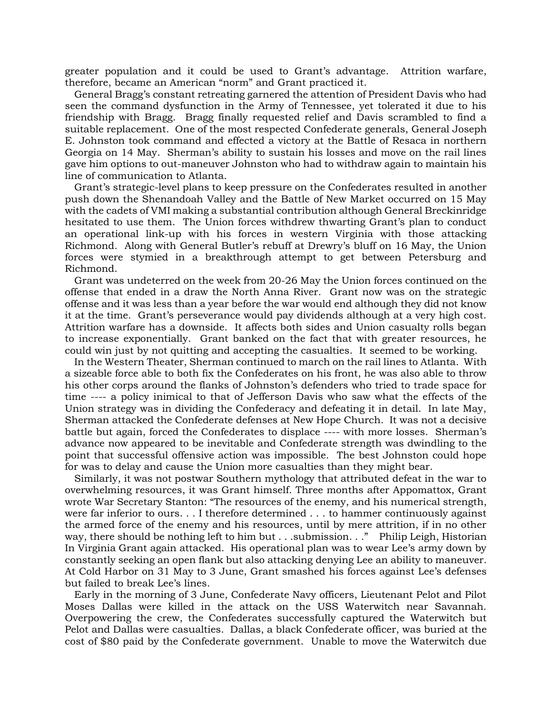greater population and it could be used to Grant's advantage. Attrition warfare, therefore, became an American "norm" and Grant practiced it.

 General Bragg's constant retreating garnered the attention of President Davis who had seen the command dysfunction in the Army of Tennessee, yet tolerated it due to his friendship with Bragg. Bragg finally requested relief and Davis scrambled to find a suitable replacement. One of the most respected Confederate generals, General Joseph E. Johnston took command and effected a victory at the Battle of Resaca in northern Georgia on 14 May. Sherman's ability to sustain his losses and move on the rail lines gave him options to out-maneuver Johnston who had to withdraw again to maintain his line of communication to Atlanta.

 Grant's strategic-level plans to keep pressure on the Confederates resulted in another push down the Shenandoah Valley and the Battle of New Market occurred on 15 May with the cadets of VMI making a substantial contribution although General Breckinridge hesitated to use them. The Union forces withdrew thwarting Grant's plan to conduct an operational link-up with his forces in western Virginia with those attacking Richmond. Along with General Butler's rebuff at Drewry's bluff on 16 May, the Union forces were stymied in a breakthrough attempt to get between Petersburg and Richmond.

 Grant was undeterred on the week from 20-26 May the Union forces continued on the offense that ended in a draw the North Anna River. Grant now was on the strategic offense and it was less than a year before the war would end although they did not know it at the time. Grant's perseverance would pay dividends although at a very high cost. Attrition warfare has a downside. It affects both sides and Union casualty rolls began to increase exponentially. Grant banked on the fact that with greater resources, he could win just by not quitting and accepting the casualties. It seemed to be working.

 In the Western Theater, Sherman continued to march on the rail lines to Atlanta. With a sizeable force able to both fix the Confederates on his front, he was also able to throw his other corps around the flanks of Johnston's defenders who tried to trade space for time ---- a policy inimical to that of Jefferson Davis who saw what the effects of the Union strategy was in dividing the Confederacy and defeating it in detail. In late May, Sherman attacked the Confederate defenses at New Hope Church. It was not a decisive battle but again, forced the Confederates to displace ---- with more losses. Sherman's advance now appeared to be inevitable and Confederate strength was dwindling to the point that successful offensive action was impossible. The best Johnston could hope for was to delay and cause the Union more casualties than they might bear.

 Similarly, it was not postwar Southern mythology that attributed defeat in the war to overwhelming resources, it was Grant himself. Three months after Appomattox, Grant wrote War Secretary Stanton: "The resources of the enemy, and his numerical strength, were far inferior to ours. . . I therefore determined . . . to hammer continuously against the armed force of the enemy and his resources, until by mere attrition, if in no other way, there should be nothing left to him but . . . submission. . ." Philip Leigh, Historian In Virginia Grant again attacked. His operational plan was to wear Lee's army down by constantly seeking an open flank but also attacking denying Lee an ability to maneuver. At Cold Harbor on 31 May to 3 June, Grant smashed his forces against Lee's defenses but failed to break Lee's lines.

 Early in the morning of 3 June, Confederate Navy officers, Lieutenant Pelot and Pilot Moses Dallas were killed in the attack on the USS Waterwitch near Savannah. Overpowering the crew, the Confederates successfully captured the Waterwitch but Pelot and Dallas were casualties. Dallas, a black Confederate officer, was buried at the cost of \$80 paid by the Confederate government. Unable to move the Waterwitch due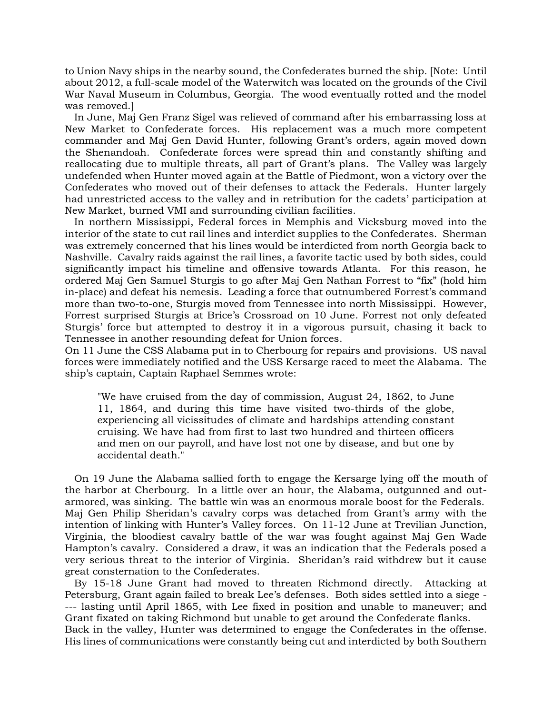to Union Navy ships in the nearby sound, the Confederates burned the ship. [Note: Until about 2012, a full-scale model of the Waterwitch was located on the grounds of the Civil War Naval Museum in Columbus, Georgia. The wood eventually rotted and the model was removed.]

 In June, Maj Gen Franz Sigel was relieved of command after his embarrassing loss at New Market to Confederate forces. His replacement was a much more competent commander and Maj Gen David Hunter, following Grant's orders, again moved down the Shenandoah. Confederate forces were spread thin and constantly shifting and reallocating due to multiple threats, all part of Grant's plans. The Valley was largely undefended when Hunter moved again at the Battle of Piedmont, won a victory over the Confederates who moved out of their defenses to attack the Federals. Hunter largely had unrestricted access to the valley and in retribution for the cadets' participation at New Market, burned VMI and surrounding civilian facilities.

 In northern Mississippi, Federal forces in Memphis and Vicksburg moved into the interior of the state to cut rail lines and interdict supplies to the Confederates. Sherman was extremely concerned that his lines would be interdicted from north Georgia back to Nashville. Cavalry raids against the rail lines, a favorite tactic used by both sides, could significantly impact his timeline and offensive towards Atlanta. For this reason, he ordered Maj Gen Samuel Sturgis to go after Maj Gen Nathan Forrest to "fix" (hold him in-place) and defeat his nemesis. Leading a force that outnumbered Forrest's command more than two-to-one, Sturgis moved from Tennessee into north Mississippi. However, Forrest surprised Sturgis at Brice's Crossroad on 10 June. Forrest not only defeated Sturgis' force but attempted to destroy it in a vigorous pursuit, chasing it back to Tennessee in another resounding defeat for Union forces.

On 11 June the CSS Alabama put in to Cherbourg for repairs and provisions. US naval forces were immediately notified and the USS Kersarge raced to meet the Alabama. The ship's captain, Captain Raphael Semmes wrote:

"We have cruised from the day of commission, August 24, 1862, to June 11, 1864, and during this time have visited two-thirds of the globe, experiencing all vicissitudes of climate and hardships attending constant cruising. We have had from first to last two hundred and thirteen officers and men on our payroll, and have lost not one by disease, and but one by accidental death."

 On 19 June the Alabama sallied forth to engage the Kersarge lying off the mouth of the harbor at Cherbourg. In a little over an hour, the Alabama, outgunned and outarmored, was sinking. The battle win was an enormous morale boost for the Federals. Maj Gen Philip Sheridan's cavalry corps was detached from Grant's army with the intention of linking with Hunter's Valley forces. On 11-12 June at Trevilian Junction, Virginia, the bloodiest cavalry battle of the war was fought against Maj Gen Wade Hampton's cavalry. Considered a draw, it was an indication that the Federals posed a very serious threat to the interior of Virginia. Sheridan's raid withdrew but it cause great consternation to the Confederates.

 By 15-18 June Grant had moved to threaten Richmond directly. Attacking at Petersburg, Grant again failed to break Lee's defenses. Both sides settled into a siege - --- lasting until April 1865, with Lee fixed in position and unable to maneuver; and Grant fixated on taking Richmond but unable to get around the Confederate flanks. Back in the valley, Hunter was determined to engage the Confederates in the offense. His lines of communications were constantly being cut and interdicted by both Southern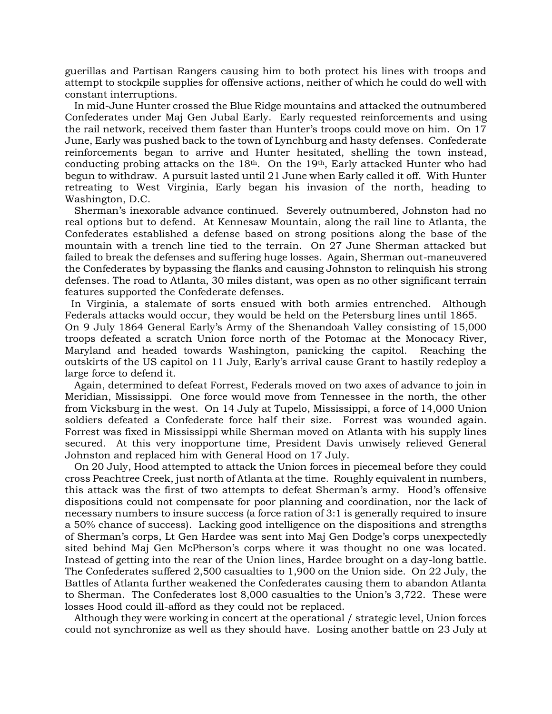guerillas and Partisan Rangers causing him to both protect his lines with troops and attempt to stockpile supplies for offensive actions, neither of which he could do well with constant interruptions.

 In mid-June Hunter crossed the Blue Ridge mountains and attacked the outnumbered Confederates under Maj Gen Jubal Early. Early requested reinforcements and using the rail network, received them faster than Hunter's troops could move on him. On 17 June, Early was pushed back to the town of Lynchburg and hasty defenses. Confederate reinforcements began to arrive and Hunter hesitated, shelling the town instead, conducting probing attacks on the  $18<sup>th</sup>$ . On the  $19<sup>th</sup>$ , Early attacked Hunter who had begun to withdraw. A pursuit lasted until 21 June when Early called it off. With Hunter retreating to West Virginia, Early began his invasion of the north, heading to Washington, D.C.

 Sherman's inexorable advance continued. Severely outnumbered, Johnston had no real options but to defend. At Kennesaw Mountain, along the rail line to Atlanta, the Confederates established a defense based on strong positions along the base of the mountain with a trench line tied to the terrain. On 27 June Sherman attacked but failed to break the defenses and suffering huge losses. Again, Sherman out-maneuvered the Confederates by bypassing the flanks and causing Johnston to relinquish his strong defenses. The road to Atlanta, 30 miles distant, was open as no other significant terrain features supported the Confederate defenses.

 In Virginia, a stalemate of sorts ensued with both armies entrenched. Although Federals attacks would occur, they would be held on the Petersburg lines until 1865.

On 9 July 1864 General Early's Army of the Shenandoah Valley consisting of 15,000 troops defeated a scratch Union force north of the Potomac at the Monocacy River, Maryland and headed towards Washington, panicking the capitol. Reaching the outskirts of the US capitol on 11 July, Early's arrival cause Grant to hastily redeploy a large force to defend it.

 Again, determined to defeat Forrest, Federals moved on two axes of advance to join in Meridian, Mississippi. One force would move from Tennessee in the north, the other from Vicksburg in the west. On 14 July at Tupelo, Mississippi, a force of 14,000 Union soldiers defeated a Confederate force half their size. Forrest was wounded again. Forrest was fixed in Mississippi while Sherman moved on Atlanta with his supply lines secured. At this very inopportune time, President Davis unwisely relieved General Johnston and replaced him with General Hood on 17 July.

 On 20 July, Hood attempted to attack the Union forces in piecemeal before they could cross Peachtree Creek, just north of Atlanta at the time. Roughly equivalent in numbers, this attack was the first of two attempts to defeat Sherman's army. Hood's offensive dispositions could not compensate for poor planning and coordination, nor the lack of necessary numbers to insure success (a force ration of 3:1 is generally required to insure a 50% chance of success). Lacking good intelligence on the dispositions and strengths of Sherman's corps, Lt Gen Hardee was sent into Maj Gen Dodge's corps unexpectedly sited behind Maj Gen McPherson's corps where it was thought no one was located. Instead of getting into the rear of the Union lines, Hardee brought on a day-long battle. The Confederates suffered 2,500 casualties to 1,900 on the Union side. On 22 July, the Battles of Atlanta further weakened the Confederates causing them to abandon Atlanta to Sherman. The Confederates lost 8,000 casualties to the Union's 3,722. These were losses Hood could ill-afford as they could not be replaced.

 Although they were working in concert at the operational / strategic level, Union forces could not synchronize as well as they should have. Losing another battle on 23 July at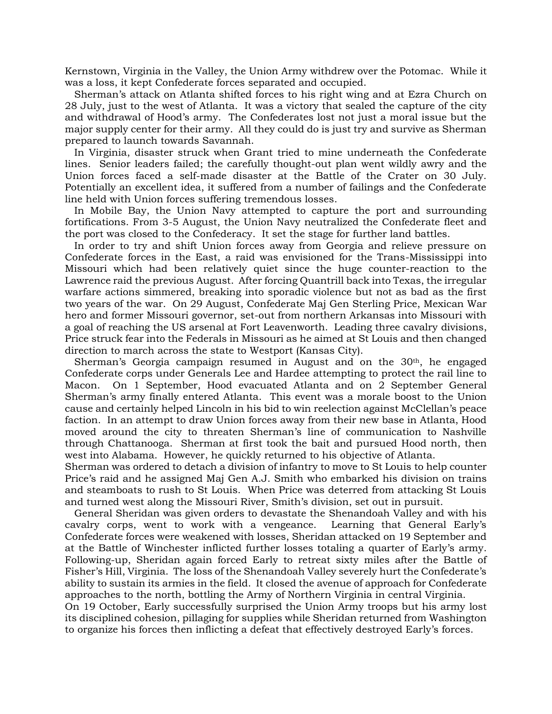Kernstown, Virginia in the Valley, the Union Army withdrew over the Potomac. While it was a loss, it kept Confederate forces separated and occupied.

 Sherman's attack on Atlanta shifted forces to his right wing and at Ezra Church on 28 July, just to the west of Atlanta. It was a victory that sealed the capture of the city and withdrawal of Hood's army. The Confederates lost not just a moral issue but the major supply center for their army. All they could do is just try and survive as Sherman prepared to launch towards Savannah.

 In Virginia, disaster struck when Grant tried to mine underneath the Confederate lines. Senior leaders failed; the carefully thought-out plan went wildly awry and the Union forces faced a self-made disaster at the Battle of the Crater on 30 July. Potentially an excellent idea, it suffered from a number of failings and the Confederate line held with Union forces suffering tremendous losses.

 In Mobile Bay, the Union Navy attempted to capture the port and surrounding fortifications. From 3-5 August, the Union Navy neutralized the Confederate fleet and the port was closed to the Confederacy. It set the stage for further land battles.

 In order to try and shift Union forces away from Georgia and relieve pressure on Confederate forces in the East, a raid was envisioned for the Trans-Mississippi into Missouri which had been relatively quiet since the huge counter-reaction to the Lawrence raid the previous August. After forcing Quantrill back into Texas, the irregular warfare actions simmered, breaking into sporadic violence but not as bad as the first two years of the war. On 29 August, Confederate Maj Gen Sterling Price, Mexican War hero and former Missouri governor, set-out from northern Arkansas into Missouri with a goal of reaching the US arsenal at Fort Leavenworth. Leading three cavalry divisions, Price struck fear into the Federals in Missouri as he aimed at St Louis and then changed direction to march across the state to Westport (Kansas City).

Sherman's Georgia campaign resumed in August and on the  $30<sup>th</sup>$ , he engaged Confederate corps under Generals Lee and Hardee attempting to protect the rail line to Macon. On 1 September, Hood evacuated Atlanta and on 2 September General Sherman's army finally entered Atlanta. This event was a morale boost to the Union cause and certainly helped Lincoln in his bid to win reelection against McClellan's peace faction. In an attempt to draw Union forces away from their new base in Atlanta, Hood moved around the city to threaten Sherman's line of communication to Nashville through Chattanooga. Sherman at first took the bait and pursued Hood north, then west into Alabama. However, he quickly returned to his objective of Atlanta.

Sherman was ordered to detach a division of infantry to move to St Louis to help counter Price's raid and he assigned Maj Gen A.J. Smith who embarked his division on trains and steamboats to rush to St Louis. When Price was deterred from attacking St Louis and turned west along the Missouri River, Smith's division, set out in pursuit.

 General Sheridan was given orders to devastate the Shenandoah Valley and with his cavalry corps, went to work with a vengeance. Learning that General Early's Confederate forces were weakened with losses, Sheridan attacked on 19 September and at the Battle of Winchester inflicted further losses totaling a quarter of Early's army. Following-up, Sheridan again forced Early to retreat sixty miles after the Battle of Fisher's Hill, Virginia. The loss of the Shenandoah Valley severely hurt the Confederate's ability to sustain its armies in the field. It closed the avenue of approach for Confederate approaches to the north, bottling the Army of Northern Virginia in central Virginia. On 19 October, Early successfully surprised the Union Army troops but his army lost its disciplined cohesion, pillaging for supplies while Sheridan returned from Washington

to organize his forces then inflicting a defeat that effectively destroyed Early's forces.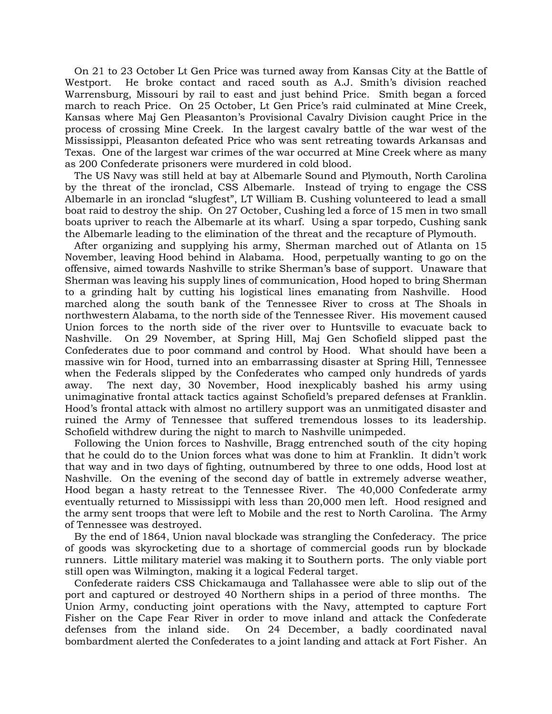On 21 to 23 October Lt Gen Price was turned away from Kansas City at the Battle of Westport. He broke contact and raced south as A.J. Smith's division reached Warrensburg, Missouri by rail to east and just behind Price. Smith began a forced march to reach Price. On 25 October, Lt Gen Price's raid culminated at Mine Creek, Kansas where Maj Gen Pleasanton's Provisional Cavalry Division caught Price in the process of crossing Mine Creek. In the largest cavalry battle of the war west of the Mississippi, Pleasanton defeated Price who was sent retreating towards Arkansas and Texas. One of the largest war crimes of the war occurred at Mine Creek where as many as 200 Confederate prisoners were murdered in cold blood.

 The US Navy was still held at bay at Albemarle Sound and Plymouth, North Carolina by the threat of the ironclad, CSS Albemarle. Instead of trying to engage the CSS Albemarle in an ironclad "slugfest", LT William B. Cushing volunteered to lead a small boat raid to destroy the ship. On 27 October, Cushing led a force of 15 men in two small boats upriver to reach the Albemarle at its wharf. Using a spar torpedo, Cushing sank the Albemarle leading to the elimination of the threat and the recapture of Plymouth.

 After organizing and supplying his army, Sherman marched out of Atlanta on 15 November, leaving Hood behind in Alabama. Hood, perpetually wanting to go on the offensive, aimed towards Nashville to strike Sherman's base of support. Unaware that Sherman was leaving his supply lines of communication, Hood hoped to bring Sherman to a grinding halt by cutting his logistical lines emanating from Nashville. Hood marched along the south bank of the Tennessee River to cross at The Shoals in northwestern Alabama, to the north side of the Tennessee River. His movement caused Union forces to the north side of the river over to Huntsville to evacuate back to Nashville. On 29 November, at Spring Hill, Maj Gen Schofield slipped past the Confederates due to poor command and control by Hood. What should have been a massive win for Hood, turned into an embarrassing disaster at Spring Hill, Tennessee when the Federals slipped by the Confederates who camped only hundreds of yards away. The next day, 30 November, Hood inexplicably bashed his army using unimaginative frontal attack tactics against Schofield's prepared defenses at Franklin. Hood's frontal attack with almost no artillery support was an unmitigated disaster and ruined the Army of Tennessee that suffered tremendous losses to its leadership. Schofield withdrew during the night to march to Nashville unimpeded.

 Following the Union forces to Nashville, Bragg entrenched south of the city hoping that he could do to the Union forces what was done to him at Franklin. It didn't work that way and in two days of fighting, outnumbered by three to one odds, Hood lost at Nashville. On the evening of the second day of battle in extremely adverse weather, Hood began a hasty retreat to the Tennessee River. The 40,000 Confederate army eventually returned to Mississippi with less than 20,000 men left. Hood resigned and the army sent troops that were left to Mobile and the rest to North Carolina. The Army of Tennessee was destroyed.

 By the end of 1864, Union naval blockade was strangling the Confederacy. The price of goods was skyrocketing due to a shortage of commercial goods run by blockade runners. Little military materiel was making it to Southern ports. The only viable port still open was Wilmington, making it a logical Federal target.

 Confederate raiders CSS Chickamauga and Tallahassee were able to slip out of the port and captured or destroyed 40 Northern ships in a period of three months. The Union Army, conducting joint operations with the Navy, attempted to capture Fort Fisher on the Cape Fear River in order to move inland and attack the Confederate defenses from the inland side. On 24 December, a badly coordinated naval bombardment alerted the Confederates to a joint landing and attack at Fort Fisher. An